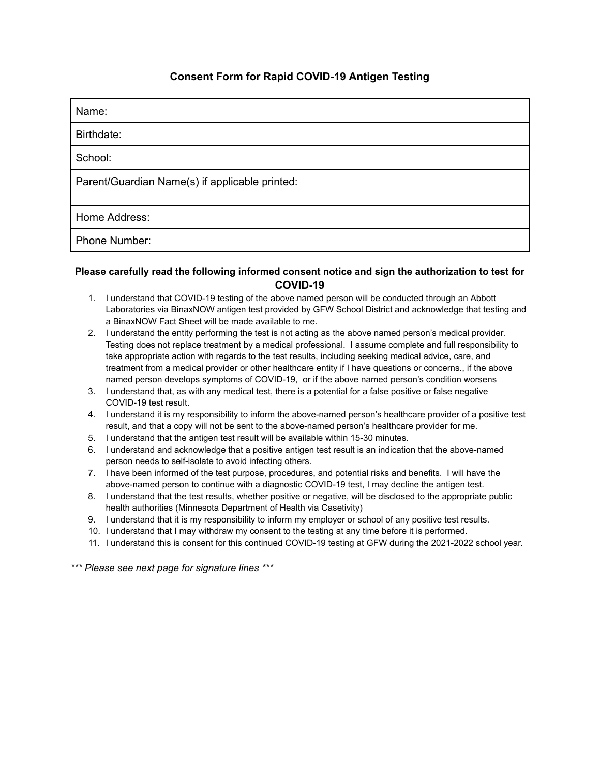## **Consent Form for Rapid COVID-19 Antigen Testing**

| Name:                                          |
|------------------------------------------------|
| Birthdate:                                     |
| School:                                        |
| Parent/Guardian Name(s) if applicable printed: |
| Home Address:                                  |
| Phone Number:                                  |

## **Please carefully read the following informed consent notice and sign the authorization to test for COVID-19**

- 1. I understand that COVID-19 testing of the above named person will be conducted through an Abbott Laboratories via BinaxNOW antigen test provided by GFW School District and acknowledge that testing and a BinaxNOW Fact Sheet will be made available to me.
- 2. I understand the entity performing the test is not acting as the above named person's medical provider. Testing does not replace treatment by a medical professional. I assume complete and full responsibility to take appropriate action with regards to the test results, including seeking medical advice, care, and treatment from a medical provider or other healthcare entity if I have questions or concerns., if the above named person develops symptoms of COVID-19, or if the above named person's condition worsens
- 3. I understand that, as with any medical test, there is a potential for a false positive or false negative COVID-19 test result.
- 4. I understand it is my responsibility to inform the above-named person's healthcare provider of a positive test result, and that a copy will not be sent to the above-named person's healthcare provider for me.
- 5. I understand that the antigen test result will be available within 15-30 minutes.
- 6. I understand and acknowledge that a positive antigen test result is an indication that the above-named person needs to self-isolate to avoid infecting others.
- 7. I have been informed of the test purpose, procedures, and potential risks and benefits. I will have the above-named person to continue with a diagnostic COVID-19 test, I may decline the antigen test.
- 8. I understand that the test results, whether positive or negative, will be disclosed to the appropriate public health authorities (Minnesota Department of Health via Casetivity)
- 9. I understand that it is my responsibility to inform my employer or school of any positive test results.
- 10. I understand that I may withdraw my consent to the testing at any time before it is performed.
- 11. I understand this is consent for this continued COVID-19 testing at GFW during the 2021-2022 school year.

*\*\*\* Please see next page for signature lines \*\*\**